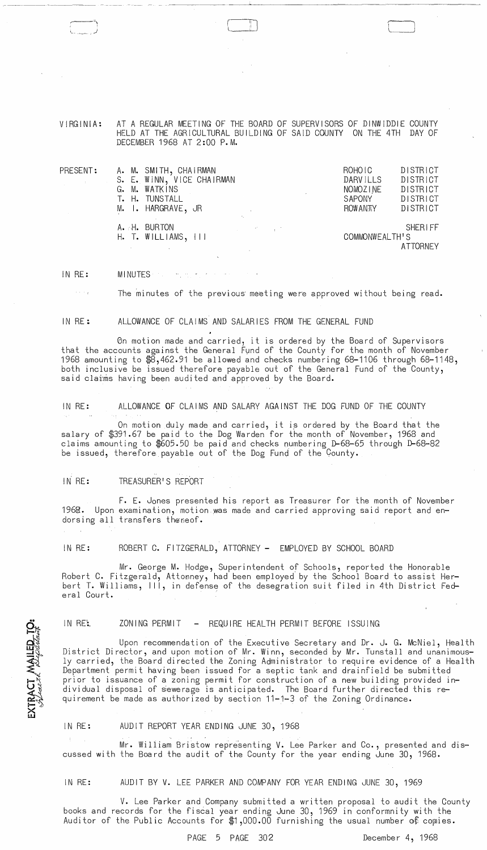VIRGINIA: AT A REGULAR MEETING OF THE BOARD OF SUPERVISORS OF DINWIDDIE COUNTY HELD AT THE AGRICULTURAL BUILDING OF SAID COUNTY ON THE 4TH DAY OF DECEMBER 1968 AT 2:00 P.M.

f. l

| ${\tt PRESENT:}$ | A. M. SMITH, CHAIRMAN<br>S. E. WINN, VICE CHAIRMAN<br>G. M. WATKINS<br>T. H. TUNSTALL<br>M. I. HARGRAVE, JR |                                   | ROHOIC<br><b>DARVILLS</b><br>NOMOZINE<br><b>SAPONY</b><br><b>ROW ANTY</b> | DISTRICT<br>DISTRICT<br><b>DISTRICT</b><br><b>DISTRICT</b><br><b>DISTRICT</b> |
|------------------|-------------------------------------------------------------------------------------------------------------|-----------------------------------|---------------------------------------------------------------------------|-------------------------------------------------------------------------------|
|                  | A. H. BURTON<br>$H.$ T. WILLIAMS, $111$                                                                     | and the state of the state of the | COMMONWEALTH'S                                                            | <b>SHERIFF</b><br><b>ATTORNEY</b>                                             |

IN RE: MINUTES **MINUTES** 

The minutes of the previous meeting were approved without being read.

IN RE: ALLOWANCE OF CLAIMS AND SALARIES FROM THE GENERAL FUND

6n motion made and carried, it is ordered by the Board of Supervisors that the accounts against the General Fund of the County for the month of November 1968 amounting to  $\overline{\$}3,462.91$  be allowed and checks numbering 68-1106 through 68-1148, both inclusive be issued therefore payable out of the General Fund of the County, said claims having been audited and approved by the Board.

IN RE: ALLOWANCE OF CLAIMS AND SALARY AGAINST THE DOG FUND OF THE COUNTY

On motion duly made and carried, it is ordered by the Board that the salary of \$391.67 be paid to the Dog Warden for the month of November, 1968 and claims amounting to \$605.50 be paid and checks numbering D-68-65 through D-68-82 be issued, therefore payable out of the Dog Fund of the County.

IN RE: TREASURER'S REPORT

**TRACT MAILED TO:** 

⋒

F. E. Jones presented his report as Treasurer for the month of November 1968. Upon examination, motion .was made and carried approving said report and endorsing all transfers theseof.

IN RE: ROBERT C. FITZGERALD, ATTORNEY - EMPLOYED BY SCHOOL BOARD

Mr. George M. Hodge, Superintendent of Schools, reported the Honorable Robert C. Fitzgerald, Attoeney, had been employed by the School Board to assist Herbert T. Williams, III, in defense of the desegration suit filed in 4th District Federal Court.

IN RE:. ZONING PERMIT - REQUIRE HEALTH PERMIT BEFORE ISSUING

Upon recommendation of the Executive Secretary and Dr. J. G. McNiel, Health District Director, and upon motion of Mr. Winn, seconded by Mr. Tunstall and unanimously carried, the Board directed the Zoning Administrator to require evidence of a Health Department permit having been issued for a septic tank and drainfield be submitted prior to issuance of a zoning permit for construction of a new building provided individual disposal of sewerage is anticipated. The Board further directed this requirement be made as authorized by section 11-1-3 of the Zoning Ordinance.

IN RE: AUDIT REPORT YEAR ENDING JUNE 30, 1968

Mr. William Bristow representing V. Lee Parker and Co., presented and discussed with the Board the audit of the County for the year ending June 30, 1968.

IN RE: AUDIT BY V. LEE PARKER AND COMPANY FOR YEAR ENDING JUNE 30, 1969

V. Lee Parker and Company submitted a written proposal to audit the County books and records for the fiscal year ending June 30, 1969 in conformnity with the Auditor of the Public Accounts for  $$1,000.00$  furnishing the usual number of copies.

PAGE 5 PAGE 302 December 4, 1968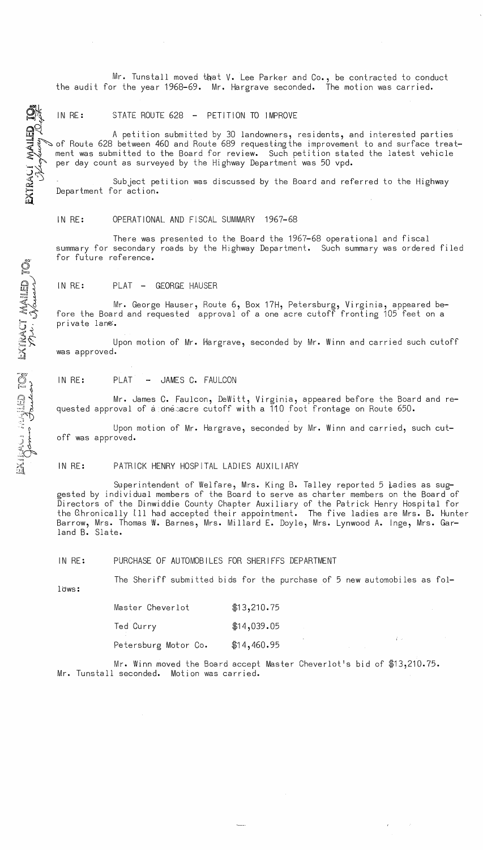Mr. Tunstall moved that V. Lee Parker and Co., be contracted to conduct the audit for the year 1968-69. Mr. Hargrave seconded. The motion was carried.

IN RE: STATE ROUTE 628 - PETITION TO IMPROVE

A petition submitted by 30 landowners, residents, and interested parties ~ of Route 628 between 460 and Route 689 requesting the improvement to and surface treat-<br>ment was submitted to the Board for review. Such petition stated the latest vehicle per day count as surveyed by the Highway Department was 50 vpd.

Subject petition was discussed by the Board and referred to the Highway Department for action.

IN RE: OPERATIONAL AND FISCAL SUMMARY 1967-68

There was presented to the Board the 1967-68 operational and fiscal summary for secondary roads by the Highway Department. Such summary was ordered filed for future reference.

IN RE: PLAT - GEORGE HAUSER

Mr. George Hauser, Route 6, Box 17H, Petersburg, Virginia, appeared before the Board and requested approval of a one acre cutoff fronting 105 feet on a pr i va te lane:.

Upon motion of Mr. Hargrave, seconded by Mr. Winn and carried such cutoff was approved.

IN RE: PLAT - JAMES C. FAULCON

Mr. James C. Faulcon, DeWitt, Virginia, appeared before the Board and requested approval of  $\dot{a}$  one acre cutoff with a 110 foot frontage on Route 650.

Upon motion of Mr. Hargrave, seconded by Mr. Winn and carried, such cutoff was approved.

IN RE: PATRICK HENRY HOSPITAL LADIES AUXILIARY

Superintendent of Welfare, Mrs. King B. Talley reported 5 Ladies as suggested by individual members of the Board to serve as charter members on the Board of Directors of the Dinwiddie County Chapter Auxiliary of the Patrick Henry Hospital for the Chronically [11 had accepted their appointment. The five ladies are Mrs. B. Hunter Barrow, Mrs. Thomas W. Barnes, Mrs. Millard E. Doyle, Mrs. Lynwood A. Inge, Mrs. Garland B. Slate.

IN RE: PURCHASE OF AUTOMOBILES FOR SHERIFFS DEPARTMENT

J.

iU.

00'

MIED<br>2222

 $\leq$   $\sim$ ~')  $\sum_{i=1}^{n}$ 

 $\mathbb{E} \mathbb{X} \mathbb{I} \mathbb{X}$ 

 $\bigcircled{S}_i$ 

 $\sim$   $\mu$ **11 ...** 

 $\sum_{i=1}^{n}$ 

 $\Xi \times \Xi$ 

The Sheriff submitted bids for the purchase of 5 new automobiles as fol-

lows:

| Master Cheverlot     | \$13,210.75 |  |  |
|----------------------|-------------|--|--|
| Ted Curry            | \$14,039.05 |  |  |
| Petersburg Motor Co. | \$14,460.95 |  |  |

Mr. Winn moved the Board accept Master Cheverlot's bid of \$13,210.75. Mr. Tunstall seconded. Motion was carried.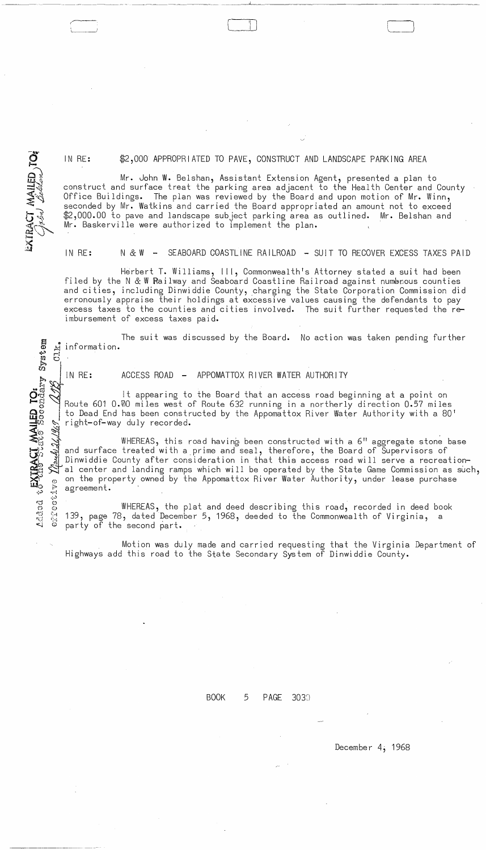IN RE: \$2,000 APPROPRIATED TO PAVE, CONSTRUCT AND LANDSCAPE PARKING AREA

 $\Box$ 

Mr. John W. Belshan, Assistant Extension Agent, presented a plan to construct and surface treat the parking area adjacent to the Health Center and County Office Buildings. The plan was reviewed by the Board and upon motion of Mr. Winn, seconded by Mr. Watkins and carried the Board appropriated an amount not to exceed<br>\$2,000.00 to pave and landscape subject parking area as outlined. Mr. Belshan and \$2,000.00 to pave and landscape subject parking area as outlined. Mr. Baskerville were authorized to implement the plan. '

IN RE: N & W - SEABOARD COASTLINE RAILROAD - SUIT TO RECOVER EXCESS TAXES PAID

Herbert T. Williams, III, Commonwealth's Attorney stated a suit had been filed by the N  $&$  W Railway and Seaboard Coastline Railroad against numerous counties and cities, including Dinwiddie County, charging the State Corporation Commission did erronously appraise their holdings at excessive values causing the defendants to pay excess taxes to the counties and cities involved. The suit further requested the reimbursement of excess taxes paid.

The suit was discussed by the Board. No action was taken pending further information. **-:-, ;:::;** 

IN RE: ACCESS ROAD - APPOMATTOX RIVER WATER AUTHORITY

It appearing to the Board that an access road beginning at a point on Route 601 0.70 miles west of Route 632 running in a northerly direction 0.57 miles<br>to Dead End has been constructed by the Appomattox River Water Authority with a 80' right-of-way duly recorded.

wHEREAS, this road having been constructed with a 6" aggregate stone base and surface treated with a prime and seal, therefore, the Board of Supervisors of Dinwiddie County after consideration in that this access road will serve a recreational center and landing ramps which will be operated by the State Game Commission as such,

→ on the property owned by the Appomattox River Water Authority, under lease purchase<br>agreement.<br>
→ WHEREAS, the plat and deed describing this road, recorded in deed book<br>
→ 139, page 78, dated December 5, 1968, deeded to WHEREAS, the plat and deed describing this road, recorded in deed book 139, page 78, dated December 5, 1968, deeded to the Commonwealth of Virginia, a party of the second part.

Motion was duly made and carried requesting that the Virginia Department of Highways add this road to the State Secondary System of Dinwiddie County.

BOOK 5 PAGE 3030

December 4; 1968

EXTRACT MAILED TO:

.;'" r;j eJ 0 (:) **.... (]** \'-4 **reJ** (>-"j

 $\approx$  0